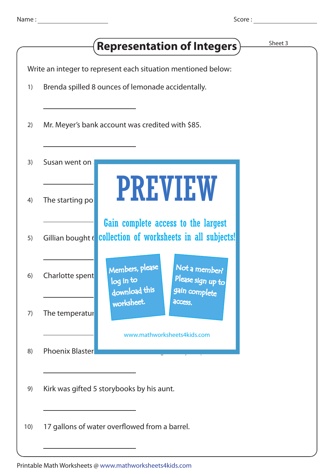|     |                        | Sheet 3<br><b>Representation of Integers</b> )                                                       |  |
|-----|------------------------|------------------------------------------------------------------------------------------------------|--|
|     |                        | Write an integer to represent each situation mentioned below:                                        |  |
| 1)  |                        | Brenda spilled 8 ounces of lemonade accidentally.                                                    |  |
| 2)  |                        | Mr. Meyer's bank account was credited with \$85.                                                     |  |
| 3)  | Susan went on          |                                                                                                      |  |
| 4)  | The starting po        | <b>PREVIEW</b>                                                                                       |  |
| 5)  | Gillian bought (       | Gain complete access to the largest<br>collection of worksheets in all subjects!                     |  |
| 6)  | Charlotte spent        | Members, please<br>Not a member?<br>Please sign up to<br>log in to<br>download this<br>gain complete |  |
| 7)  | The temperatur         | worksheet.<br>access.<br>www.mathworksheets4kids.com                                                 |  |
| 8)  | <b>Phoenix Blaster</b> |                                                                                                      |  |
| 9)  |                        | Kirk was gifted 5 storybooks by his aunt.                                                            |  |
| 10) |                        | 17 gallons of water overflowed from a barrel.                                                        |  |
|     |                        |                                                                                                      |  |